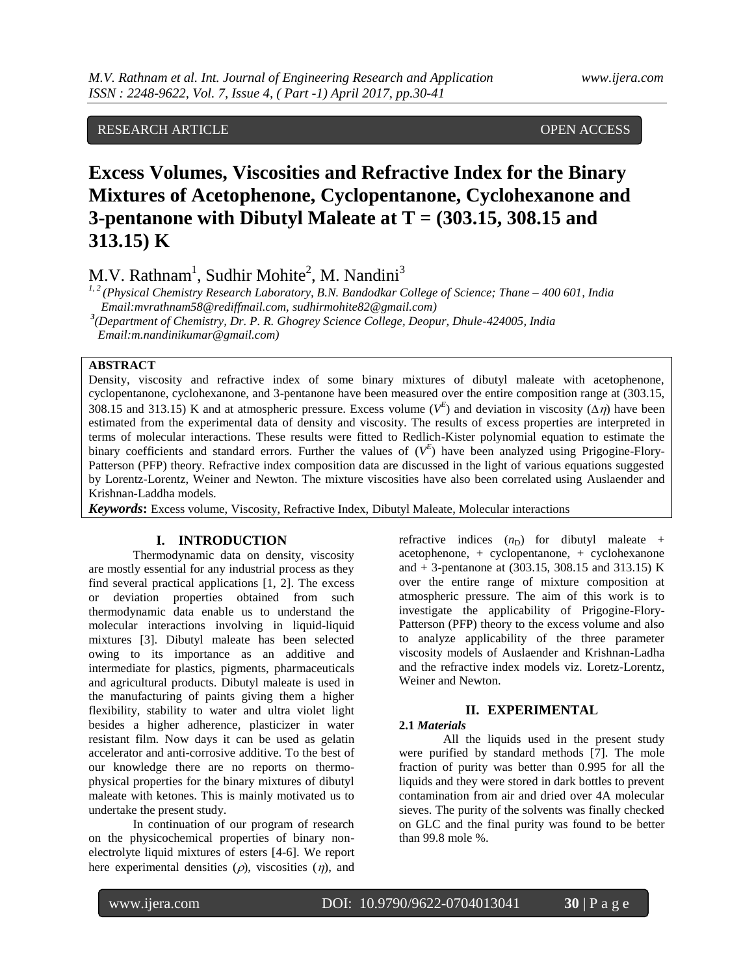# RESEARCH ARTICLE **CONSERVERS** OPEN ACCESS

# **Excess Volumes, Viscosities and Refractive Index for the Binary Mixtures of Acetophenone, Cyclopentanone, Cyclohexanone and 3-pentanone with Dibutyl Maleate at T = (303.15, 308.15 and 313.15) K**

M.V. Rathnam<sup>1</sup>, Sudhir Mohite<sup>2</sup>, M. Nandini<sup>3</sup>

*1, 2 (Physical Chemistry Research Laboratory, B.N. Bandodkar College of Science; Thane – 400 601, India Email:mvrathnam58@rediffmail.com, [sudhirmohite82@gmail.com\)](mailto:sudhirmohite82@gmail.com)*

*3 (Department of Chemistry, Dr. P. R. Ghogrey Science College, Deopur, Dhule-424005, India* 

 *Email:m.nandinikumar@gmail.com)*

# **ABSTRACT**

Density, viscosity and refractive index of some binary mixtures of dibutyl maleate with acetophenone, cyclopentanone, cyclohexanone, and 3-pentanone have been measured over the entire composition range at (303.15, 308.15 and 313.15) K and at atmospheric pressure. Excess volume ( $V^E$ ) and deviation in viscosity ( $\Delta \eta$ ) have been estimated from the experimental data of density and viscosity. The results of excess properties are interpreted in terms of molecular interactions. These results were fitted to Redlich-Kister polynomial equation to estimate the binary coefficients and standard errors. Further the values of  $(V^E)$  have been analyzed using Prigogine-Flory-Patterson (PFP) theory. Refractive index composition data are discussed in the light of various equations suggested by Lorentz-Lorentz, Weiner and Newton. The mixture viscosities have also been correlated using Auslaender and Krishnan-Laddha models.

*Keywords***:** Excess volume, Viscosity, Refractive Index, Dibutyl Maleate, Molecular interactions

### **I. INTRODUCTION**

Thermodynamic data on density, viscosity are mostly essential for any industrial process as they find several practical applications [1, 2]. The excess or deviation properties obtained from such thermodynamic data enable us to understand the molecular interactions involving in liquid-liquid mixtures [3]. Dibutyl maleate has been selected owing to its importance as an additive and intermediate for plastics, pigments, pharmaceuticals and agricultural products. Dibutyl maleate is used in the manufacturing of paints giving them a higher flexibility, stability to water and ultra violet light besides a higher adherence, plasticizer in water resistant film. Now days it can be used as gelatin accelerator and anti-corrosive additive. To the best of our knowledge there are no reports on thermophysical properties for the binary mixtures of dibutyl maleate with ketones. This is mainly motivated us to undertake the present study.

In continuation of our program of research on the physicochemical properties of binary nonelectrolyte liquid mixtures of esters [4-6]. We report here experimental densities  $(\rho)$ , viscosities  $(\eta)$ , and refractive indices  $(n_D)$  for dibutyl maleate + acetophenone, + cyclopentanone, + cyclohexanone and  $+$  3-pentanone at (303.15, 308.15 and 313.15) K over the entire range of mixture composition at atmospheric pressure. The aim of this work is to investigate the applicability of Prigogine-Flory-Patterson (PFP) theory to the excess volume and also to analyze applicability of the three parameter viscosity models of Auslaender and Krishnan-Ladha and the refractive index models viz. Loretz-Lorentz, Weiner and Newton.

# **II. EXPERIMENTAL**

## **2.1** *Materials*

All the liquids used in the present study were purified by standard methods [7]. The mole fraction of purity was better than 0.995 for all the liquids and they were stored in dark bottles to prevent contamination from air and dried over 4A molecular sieves. The purity of the solvents was finally checked on GLC and the final purity was found to be better than 99.8 mole %.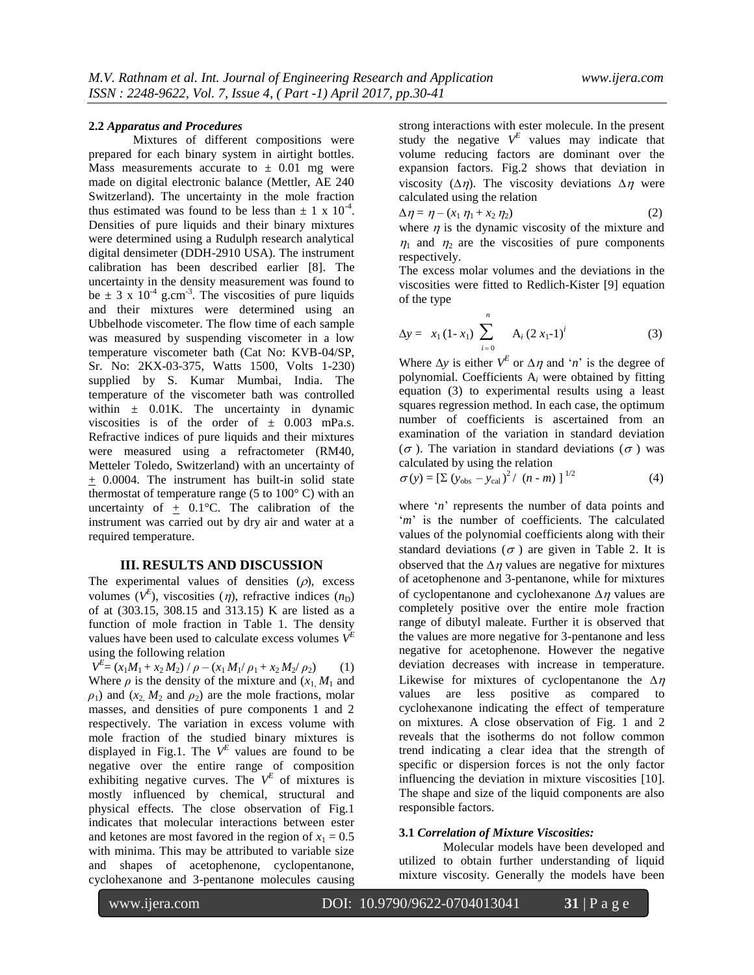#### **2.2** *Apparatus and Procedures*

Mixtures of different compositions were prepared for each binary system in airtight bottles. Mass measurements accurate to  $\pm$  0.01 mg were made on digital electronic balance (Mettler, AE 240 Switzerland). The uncertainty in the mole fraction thus estimated was found to be less than  $\pm$  1 x 10<sup>-4</sup>. Densities of pure liquids and their binary mixtures were determined using a Rudulph research analytical digital densimeter (DDH-2910 USA). The instrument calibration has been described earlier [8]. The uncertainty in the density measurement was found to be  $\pm$  3 x 10<sup>-4</sup> g.cm<sup>-3</sup>. The viscosities of pure liquids and their mixtures were determined using an Ubbelhode viscometer. The flow time of each sample was measured by suspending viscometer in a low temperature viscometer bath (Cat No: KVB-04/SP, Sr. No: 2KX-03-375, Watts 1500, Volts 1-230) supplied by S. Kumar Mumbai, India. The temperature of the viscometer bath was controlled within  $\pm$  0.01K. The uncertainty in dynamic viscosities is of the order of  $\pm$  0.003 mPa.s. Refractive indices of pure liquids and their mixtures were measured using a refractometer (RM40, Metteler Toledo, Switzerland) with an uncertainty of + 0.0004. The instrument has built-in solid state thermostat of temperature range (5 to 100° C) with an uncertainty of  $\pm$  0.1°C. The calibration of the instrument was carried out by dry air and water at a required temperature.

#### **III. RESULTS AND DISCUSSION**

The experimental values of densities  $(\rho)$ , excess volumes  $(V^E)$ , viscosities  $(\eta)$ , refractive indices  $(n_D)$ of at (303.15, 308.15 and 313.15) K are listed as a function of mole fraction in Table 1. The density values have been used to calculate excess volumes  $V^E$ using the following relation

 $V^{E} = (x_1M_1 + x_2M_2) / \rho - (x_1M_1/\rho_1 + x_2M_2/\rho_2)$  (1) Where  $\rho$  is the density of the mixture and  $(x_1, M_1)$  and  $\rho_1$ ) and (*x*<sub>2</sub>, *M*<sub>2</sub> and  $\rho_2$ ) are the mole fractions, molar masses, and densities of pure components 1 and 2 respectively. The variation in excess volume with mole fraction of the studied binary mixtures is displayed in Fig.1. The  $V^E$  values are found to be negative over the entire range of composition exhibiting negative curves. The  $V^E$  of mixtures is mostly influenced by chemical, structural and physical effects. The close observation of Fig.1 indicates that molecular interactions between ester and ketones are most favored in the region of  $x_1 = 0.5$ with minima. This may be attributed to variable size and shapes of acetophenone, cyclopentanone, cyclohexanone and 3-pentanone molecules causing

strong interactions with ester molecule. In the present study the negative  $V^E$  values may indicate that volume reducing factors are dominant over the expansion factors. Fig.2 shows that deviation in viscosity  $(\Delta \eta)$ . The viscosity deviations  $\Delta \eta$  were calculated using the relation

$$
\Delta \eta = \eta - (x_1 \eta_1 + x_2 \eta_2) \tag{2}
$$

where  $\eta$  is the dynamic viscosity of the mixture and  $\eta_1$  and  $\eta_2$  are the viscosities of pure components respectively.

The excess molar volumes and the deviations in the viscosities were fitted to Redlich-Kister [9] equation of the type

$$
\Delta y = x_1 (1 - x_1) \sum_{i=0}^{n} A_i (2 x_1 - 1)^i
$$
 (3)

Where  $\Delta y$  is either  $V^E$  or  $\Delta \eta$  and '*n*' is the degree of polynomial. Coefficients A*<sup>i</sup>* were obtained by fitting equation (3) to experimental results using a least squares regression method. In each case, the optimum number of coefficients is ascertained from an examination of the variation in standard deviation  $(\sigma)$ . The variation in standard deviations  $(\sigma)$  was calculated by using the relation

$$
\sigma(y) = \left[\sum (y_{\text{obs}} - y_{\text{cal}})^2 / (n - m)\right]^{1/2}
$$
 (4)

where '*n*' represents the number of data points and '*m*' is the number of coefficients. The calculated values of the polynomial coefficients along with their standard deviations ( $\sigma$ ) are given in Table 2. It is observed that the  $\Delta \eta$  values are negative for mixtures of acetophenone and 3-pentanone, while for mixtures of cyclopentanone and cyclohexanone  $\Delta \eta$  values are completely positive over the entire mole fraction range of dibutyl maleate. Further it is observed that the values are more negative for 3-pentanone and less negative for acetophenone. However the negative deviation decreases with increase in temperature. Likewise for mixtures of cyclopentanone the  $\Delta \eta$ values are less positive as compared to cyclohexanone indicating the effect of temperature on mixtures. A close observation of Fig. 1 and 2 reveals that the isotherms do not follow common trend indicating a clear idea that the strength of specific or dispersion forces is not the only factor influencing the deviation in mixture viscosities [10]. The shape and size of the liquid components are also responsible factors.

#### **3.1** *Correlation of Mixture Viscosities:*

Molecular models have been developed and utilized to obtain further understanding of liquid mixture viscosity. Generally the models have been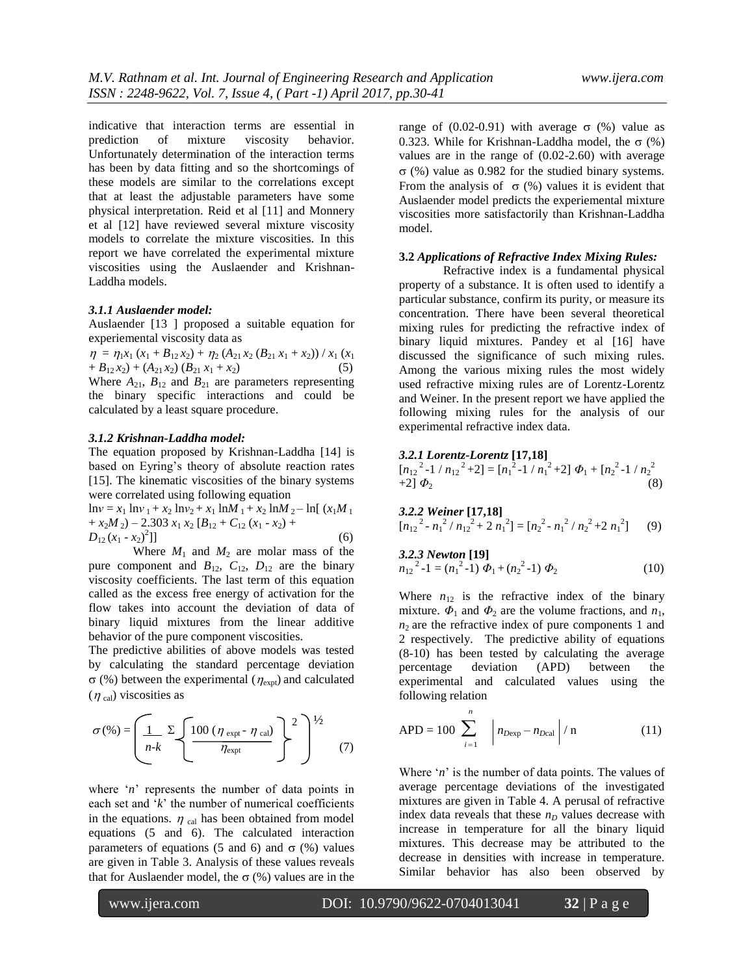indicative that interaction terms are essential in prediction of mixture viscosity behavior. Unfortunately determination of the interaction terms has been by data fitting and so the shortcomings of these models are similar to the correlations except that at least the adjustable parameters have some physical interpretation. Reid et al [11] and Monnery et al [12] have reviewed several mixture viscosity models to correlate the mixture viscosities. In this report we have correlated the experimental mixture viscosities using the Auslaender and Krishnan-Laddha models.

#### *3.1.1 Auslaender model:*

Auslaender [13 ] proposed a suitable equation for experiemental viscosity data as

 $\eta = \eta_1 x_1 (x_1 + B_{12} x_2) + \eta_2 (A_{21} x_2 (B_{21} x_1 + x_2)) / x_1 (x_1$  $+ B_{12} x_2) + (A_{21} x_2) (B_{21} x_1 + x_2)$  (5) Where  $A_{21}$ ,  $B_{12}$  and  $B_{21}$  are parameters representing

the binary specific interactions and could be calculated by a least square procedure.

#### *3.1.2 Krishnan-Laddha model:*

The equation proposed by Krishnan-Laddha [14] is based on Eyring's theory of absolute reaction rates [15]. The kinematic viscosities of the binary systems were correlated using following equation

 $\ln v = x_1 \ln v_1 + x_2 \ln v_2 + x_1 \ln M_1 + x_2 \ln M_2 - \ln[(x_1M_1 + x_2) + x_1M_2]$  $+x_2M_2$ ) – 2.303  $x_1 x_2 [B_{12} + C_{12} (x_1 - x_2) +$  $D_{12} (x_1 - x_2)^2$  $\left| \right|$  (6)

Where  $M_1$  and  $M_2$  are molar mass of the pure component and  $B_{12}$ ,  $C_{12}$ ,  $D_{12}$  are the binary viscosity coefficients. The last term of this equation called as the excess free energy of activation for the flow takes into account the deviation of data of binary liquid mixtures from the linear additive behavior of the pure component viscosities.

The predictive abilities of above models was tested by calculating the standard percentage deviation  $\sigma$  (%) between the experimental ( $\eta_{\text{expt}}$ ) and calculated  $(\eta_{cal})$  viscosities as

$$
\sigma(\%) = \left(\underbrace{\frac{1}{n-k} \sum \left\{100 \left(\eta_{\text{expt}} - \eta_{\text{cal}}\right)} \frac{1}{\eta_{\text{expt}}}\right\}^2\right)^{1/2} \tag{7}
$$

where '*n*' represents the number of data points in each set and '*k*' the number of numerical coefficients in the equations.  $\eta$  cal has been obtained from model equations (5 and 6). The calculated interaction parameters of equations (5 and 6) and  $\sigma$  (%) values are given in Table 3. Analysis of these values reveals that for Auslaender model, the  $\sigma$  (%) values are in the

range of  $(0.02-0.91)$  with average  $\sigma$  (%) value as 0.323. While for Krishnan-Laddha model, the  $\sigma$  (%) values are in the range of (0.02-2.60) with average  $\sigma$  (%) value as 0.982 for the studied binary systems. From the analysis of  $\sigma$  (%) values it is evident that Auslaender model predicts the experiemental mixture viscosities more satisfactorily than Krishnan-Laddha model.

#### **3.2** *Applications of Refractive Index Mixing Rules:*

Refractive index is a fundamental physical property of a substance. It is often used to identify a particular substance, confirm its purity, or measure its concentration. There have been several theoretical mixing rules for predicting the refractive index of binary liquid mixtures. Pandey et al [16] have discussed the significance of such mixing rules. Among the various mixing rules the most widely used refractive mixing rules are of Lorentz-Lorentz and Weiner. In the present report we have applied the following mixing rules for the analysis of our experimental refractive index data.

#### *3.2.1 Lorentz-Lorentz* **[17,18]**

 $[n_{12}^2 - 1 / n_{12}^2 + 2] = [n_1^2 - 1 / n_1^2 + 2] \Phi_1 + [n_2^2 - 1 / n_2^2]$  $+2$ ]  $\Phi_2$  (8)

*3.2.2 Weiner* **[17,18]**  $[n_{12}^2 - n_1^2 / n_1^2 + 2 n_1^2] = [n_2^2 - n_1^2 / n_2^2 + 2 n_1^2]$ ](9)

*3.2.3 Newton* **[19]**   $n_{12}^2$ <sup>2</sup>-1 =  $(n_1^2$ -1)  $\Phi_1$  +  $(n_2^2$ -1)  $\Phi_2$  (10)

Where  $n_{12}$  is the refractive index of the binary mixture.  $\Phi_1$  and  $\Phi_2$  are the volume fractions, and  $n_1$ ,  $n<sub>2</sub>$  are the refractive index of pure components 1 and 2 respectively. The predictive ability of equations (8-10) has been tested by calculating the average percentage deviation (APD) between the experimental and calculated values using the following relation

$$
APD = 100 \sum_{i=1}^{n} |n_{Dexp} - n_{Dcal}| / n
$$
 (11)

Where '*n*' is the number of data points. The values of average percentage deviations of the investigated mixtures are given in Table 4. A perusal of refractive index data reveals that these  $n_D$  values decrease with increase in temperature for all the binary liquid mixtures. This decrease may be attributed to the decrease in densities with increase in temperature. Similar behavior has also been observed by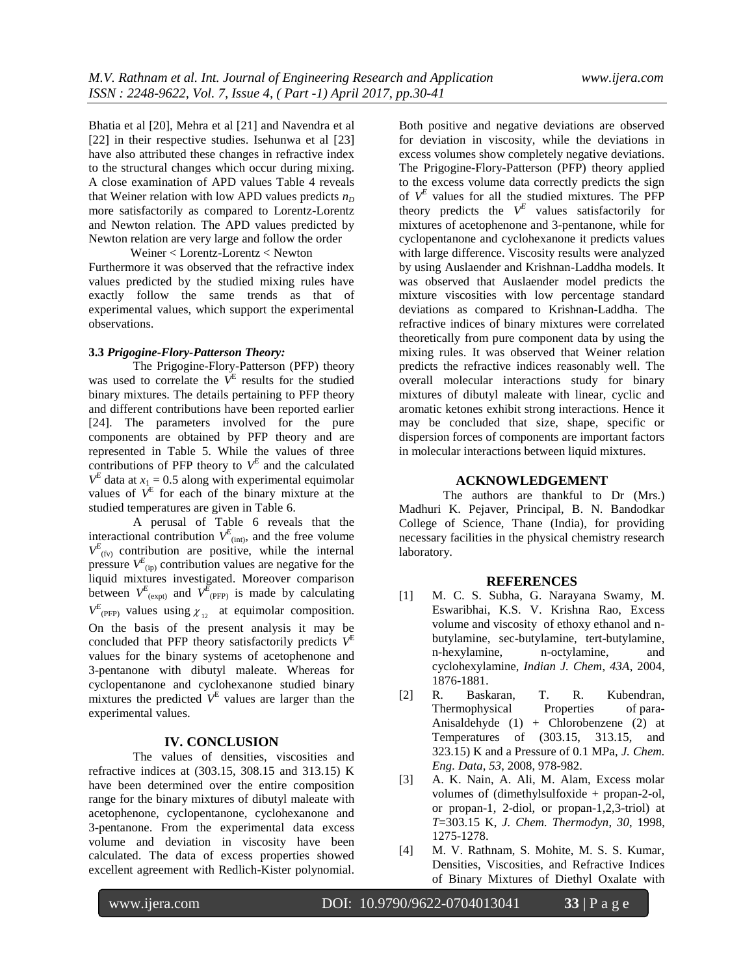Bhatia et al [20], Mehra et al [21] and Navendra et al [22] in their respective studies. Isehunwa et al [23] have also attributed these changes in refractive index to the structural changes which occur during mixing. A close examination of APD values Table 4 reveals that Weiner relation with low APD values predicts  $n_D$ more satisfactorily as compared to Lorentz-Lorentz and Newton relation. The APD values predicted by Newton relation are very large and follow the order

Weiner < Lorentz-Lorentz < Newton Furthermore it was observed that the refractive index values predicted by the studied mixing rules have exactly follow the same trends as that of experimental values, which support the experimental observations.

### **3.3** *Prigogine-Flory-Patterson Theory:*

The Prigogine-Flory-Patterson (PFP) theory was used to correlate the  $V^E$  results for the studied binary mixtures. The details pertaining to PFP theory and different contributions have been reported earlier [24]. The parameters involved for the pure components are obtained by PFP theory and are represented in Table 5. While the values of three contributions of PFP theory to  $V^E$  and the calculated  $V^E$  data at  $x_1 = 0.5$  along with experimental equimolar values of  $V^E$  for each of the binary mixture at the studied temperatures are given in Table 6.

A perusal of Table 6 reveals that the interactional contribution  $V_{\text{(int)}}^E$ , and the free volume  $V_{(fv)}^E$  contribution are positive, while the internal pressure  $V_{\text{(ip)}}^E$  contribution values are negative for the liquid mixtures investigated. Moreover comparison between  $V_{(expt)}^E$  and  $V_{(PFP)}^E$  is made by calculating  $V_{\text{(\text{PFP})}}^E$  values using  $\chi_{12}$  at equimolar composition. On the basis of the present analysis it may be concluded that PFP theory satisfactorily predicts  $V<sup>E</sup>$ values for the binary systems of acetophenone and 3-pentanone with dibutyl maleate. Whereas for cyclopentanone and cyclohexanone studied binary mixtures the predicted  $V^E$  values are larger than the experimental values.

#### **IV. CONCLUSION**

The values of densities, viscosities and refractive indices at (303.15, 308.15 and 313.15) K have been determined over the entire composition range for the binary mixtures of dibutyl maleate with acetophenone, cyclopentanone, cyclohexanone and 3-pentanone. From the experimental data excess volume and deviation in viscosity have been calculated. The data of excess properties showed excellent agreement with Redlich-Kister polynomial. Both positive and negative deviations are observed for deviation in viscosity, while the deviations in excess volumes show completely negative deviations. The Prigogine-Flory-Patterson (PFP) theory applied to the excess volume data correctly predicts the sign of  $V^E$  values for all the studied mixtures. The PFP theory predicts the  $V^E$  values satisfactorily for mixtures of acetophenone and 3-pentanone, while for cyclopentanone and cyclohexanone it predicts values with large difference. Viscosity results were analyzed by using Auslaender and Krishnan-Laddha models. It was observed that Auslaender model predicts the mixture viscosities with low percentage standard deviations as compared to Krishnan-Laddha. The refractive indices of binary mixtures were correlated theoretically from pure component data by using the mixing rules. It was observed that Weiner relation predicts the refractive indices reasonably well. The overall molecular interactions study for binary mixtures of dibutyl maleate with linear, cyclic and aromatic ketones exhibit strong interactions. Hence it may be concluded that size, shape, specific or dispersion forces of components are important factors in molecular interactions between liquid mixtures.

### **ACKNOWLEDGEMENT**

The authors are thankful to Dr (Mrs.) Madhuri K. Pejaver, Principal, B. N. Bandodkar College of Science, Thane (India), for providing necessary facilities in the physical chemistry research laboratory.

#### **REFERENCES**

- [1] M. C. S. Subha, G. Narayana Swamy, M. Eswaribhai, K.S. V. Krishna Rao, Excess volume and viscosity of ethoxy ethanol and nbutylamine, sec-butylamine, tert-butylamine, n-hexylamine, n-octylamine, and cyclohexylamine, *Indian J. Chem*, *43A*, 2004, 1876-1881.
- [2] R. Baskaran, T. R. Kubendran, Thermophysical Properties of para-Anisaldehyde (1) + Chlorobenzene (2) at Temperatures of (303.15, 313.15, and 323.15) K and a Pressure of 0.1 MPa, *J. Chem. Eng. Data*, *53*, 2008, 978-982.
- [3] A. K. Nain, A. Ali, M. Alam, Excess molar volumes of (dimethylsulfoxide + propan-2-ol, or propan-1, 2-diol, or propan-1,2,3-triol) at *T*=303.15 K, *J. Chem. Thermodyn*, *30*, 1998, 1275-1278.
- [4] M. V. Rathnam, S. Mohite, M. S. S. Kumar, Densities, Viscosities, and Refractive Indices of Binary Mixtures of Diethyl Oxalate with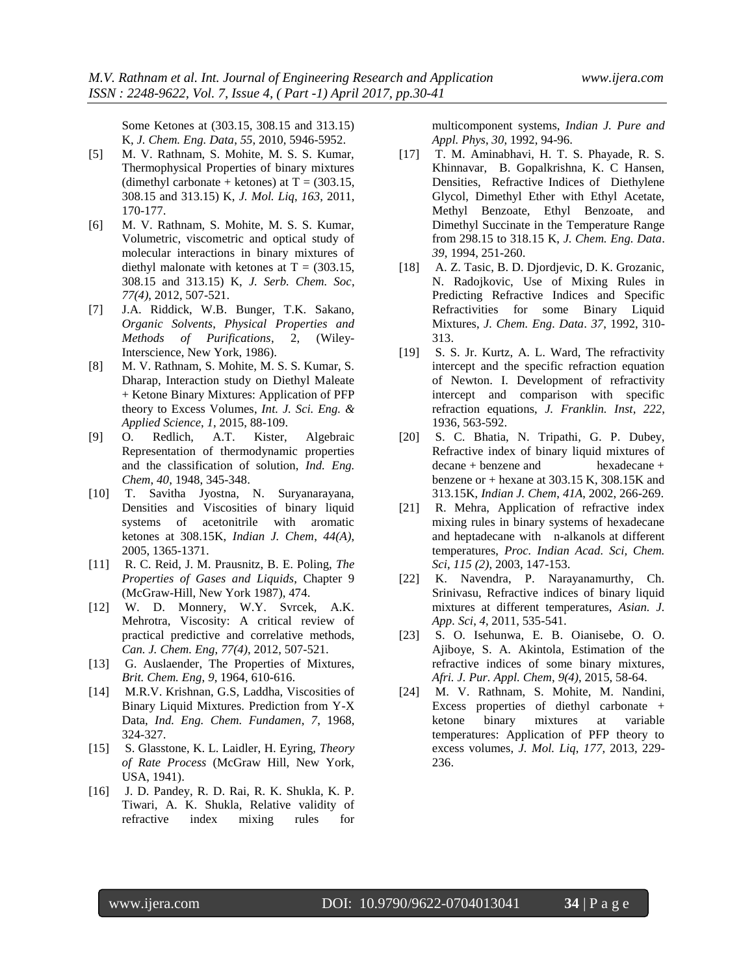Some Ketones at (303.15, 308.15 and 313.15) K, *J. Chem. Eng. Data*, *55*, 2010, 5946-5952.

- [5] M. V. Rathnam, S. Mohite, M. S. S. Kumar, Thermophysical Properties of binary mixtures (dimethyl carbonate + ketones) at  $T = (303.15,$ 308.15 and 313.15) K, *J. Mol. Liq*, *163*, 2011, 170-177.
- [6] M. V. Rathnam, S. Mohite, M. S. S. Kumar, Volumetric, viscometric and optical study of molecular interactions in binary mixtures of diethyl malonate with ketones at  $T = (303.15,$ 308.15 and 313.15) K, *J. Serb. Chem. Soc*, *77(4)*, 2012, 507-521.
- [7] J.A. Riddick, W.B. Bunger, T.K. Sakano, *Organic Solvents*, *Physical Properties and Methods of Purifications*, 2, (Wiley-Interscience, New York, 1986).
- [8] M. V. Rathnam, S. Mohite, M. S. S. Kumar, S. Dharap, Interaction study on Diethyl Maleate + Ketone Binary Mixtures: Application of PFP theory to Excess Volumes, *Int. J. Sci. Eng. & Applied Science*, *1*, 2015, 88-109.
- [9] O. Redlich, A.T. Kister, Algebraic Representation of thermodynamic properties and the classification of solution, *Ind. Eng. Chem*, *40*, 1948, 345-348.
- [10] T. Savitha Jyostna, N. Suryanarayana, Densities and Viscosities of binary liquid systems of acetonitrile with aromatic ketones at 308.15K, *Indian J. Chem*, *44(A)*, 2005, 1365-1371.
- [11] R. C. Reid, J. M. Prausnitz, B. E. Poling, *The Properties of Gases and Liquids*, Chapter 9 (McGraw-Hill, New York 1987), 474.
- [12] W. D. Monnery, W.Y. Svrcek, A.K. Mehrotra, Viscosity: A critical review of practical predictive and correlative methods, *Can. J. Chem. Eng*, *77(4)*, 2012, 507-521.
- [13] G. Auslaender, The Properties of Mixtures, *Brit. Chem. Eng*, *9*, 1964, 610-616.
- [14] M.R.V. Krishnan, G.S, Laddha, Viscosities of Binary Liquid Mixtures. Prediction from Y-X Data, *Ind. Eng. Chem. Fundamen*, *7*, 1968, 324-327.
- [15] S. Glasstone, K. L. Laidler, H. Eyring, *Theory of Rate Process* (McGraw Hill, New York, USA, 1941).
- [16] J. D. Pandey, R. D. Rai, R. K. Shukla, K. P. Tiwari, A. K. Shukla, Relative validity of refractive index mixing rules for

multicomponent systems, *Indian J. Pure and Appl. Phys*, *30*, 1992, 94-96.

- [17] T. M. Aminabhavi, H. T. S. Phayade, R. S. Khinnavar, B. Gopalkrishna, K. C Hansen, Densities, Refractive Indices of Diethylene Glycol, Dimethyl Ether with Ethyl Acetate, Methyl Benzoate, Ethyl Benzoate, and Dimethyl Succinate in the Temperature Range from 298.15 to 318.15 K, *J. Chem. Eng. Data*. *39*, 1994, 251-260.
- [18] A. Z. Tasic, B. D. Djordjevic, D. K. Grozanic, N. Radojkovic, Use of Mixing Rules in Predicting Refractive Indices and Specific Refractivities for some Binary Liquid Mixtures, *J. Chem. Eng. Data*. *37*, 1992, 310- 313.
- [19] S. S. Jr. Kurtz, A. L. Ward, The refractivity intercept and the specific refraction equation of Newton. I. Development of refractivity intercept and comparison with specific refraction equations, *J. Franklin. Inst*, *222*, 1936, 563-592.
- [20] S. C. Bhatia, N. Tripathi, G. P. Dubey, Refractive index of binary liquid mixtures of decane + benzene and hexadecane + benzene or  $+$  hexane at 303.15 K, 308.15K and 313.15K, *Indian J. Chem*, *41A*, 2002, 266-269.
- [21] R. Mehra, Application of refractive index mixing rules in binary systems of hexadecane and heptadecane with n-alkanols at different temperatures, *Proc. Indian Acad. Sci, Chem. Sci*, *115 (2)*, 2003, 147-153.
- [22] K. Navendra, P. Narayanamurthy, Ch. Srinivasu, Refractive indices of binary liquid mixtures at different temperatures, *Asian. J. App. Sci*, *4*, 2011, 535-541.
- [23] S. O. Isehunwa, E. B. Oianisebe, O. O. Ajiboye, S. A. Akintola, Estimation of the refractive indices of some binary mixtures, *Afri. J. Pur. Appl. Chem*, *9(4)*, 2015, 58-64.
- [24] M. V. Rathnam, S. Mohite, M. Nandini, Excess properties of diethyl carbonate + ketone binary mixtures at variable temperatures: Application of PFP theory to excess volumes, *J. Mol. Liq*, *177*, 2013, 229- 236.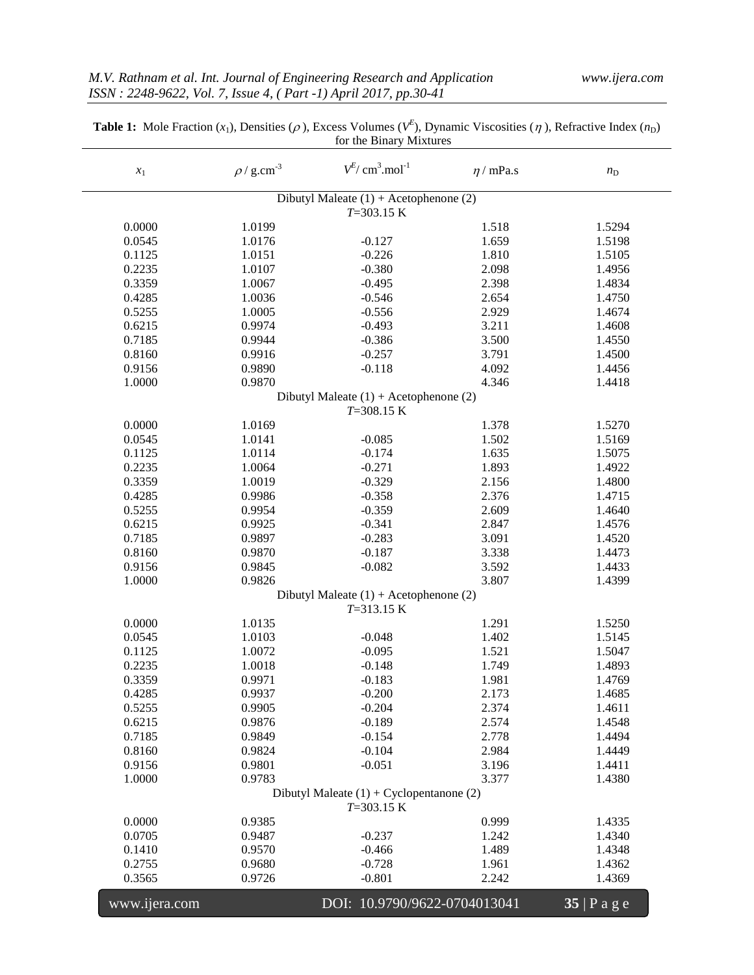| $x_{\rm 1}$   | $\rho$ / g.cm <sup>-3</sup> | $V^{E}/$ cm <sup>3</sup> .mol <sup>-1</sup>                | $\eta$ / mPa.s | $n_{\rm D}$    |
|---------------|-----------------------------|------------------------------------------------------------|----------------|----------------|
|               |                             | Dibutyl Maleate $(1)$ + Acetophenone $(2)$<br>$T=303.15 K$ |                |                |
| 0.0000        | 1.0199                      |                                                            | 1.518          | 1.5294         |
| 0.0545        | 1.0176                      | $-0.127$                                                   | 1.659          | 1.5198         |
| 0.1125        | 1.0151                      | $-0.226$                                                   | 1.810          | 1.5105         |
| 0.2235        | 1.0107                      | $-0.380$                                                   | 2.098          | 1.4956         |
| 0.3359        | 1.0067                      | $-0.495$                                                   | 2.398          | 1.4834         |
| 0.4285        | 1.0036                      | $-0.546$                                                   | 2.654          | 1.4750         |
| 0.5255        | 1.0005                      | $-0.556$                                                   | 2.929          | 1.4674         |
| 0.6215        | 0.9974                      | $-0.493$                                                   | 3.211          | 1.4608         |
| 0.7185        | 0.9944                      | $-0.386$                                                   | 3.500          | 1.4550         |
| 0.8160        | 0.9916                      | $-0.257$                                                   | 3.791          | 1.4500         |
| 0.9156        | 0.9890                      | $-0.118$                                                   | 4.092          | 1.4456         |
| 1.0000        | 0.9870                      |                                                            | 4.346          | 1.4418         |
|               |                             | Dibutyl Maleate $(1) +$ Acetophenone $(2)$                 |                |                |
|               |                             | $T = 308.15 K$                                             |                |                |
| 0.0000        | 1.0169                      |                                                            | 1.378          | 1.5270         |
| 0.0545        | 1.0141                      | $-0.085$                                                   | 1.502          | 1.5169         |
| 0.1125        | 1.0114                      | $-0.174$                                                   | 1.635          | 1.5075         |
| 0.2235        | 1.0064                      | $-0.271$                                                   | 1.893          | 1.4922         |
| 0.3359        | 1.0019                      | $-0.329$                                                   | 2.156          | 1.4800         |
| 0.4285        | 0.9986                      | $-0.358$                                                   | 2.376          | 1.4715         |
| 0.5255        | 0.9954                      | $-0.359$                                                   | 2.609          | 1.4640         |
| 0.6215        | 0.9925                      | $-0.341$                                                   | 2.847          | 1.4576         |
| 0.7185        | 0.9897                      | $-0.283$                                                   | 3.091          | 1.4520         |
| 0.8160        | 0.9870                      | $-0.187$                                                   | 3.338          | 1.4473         |
| 0.9156        | 0.9845                      | $-0.082$                                                   | 3.592          | 1.4433         |
| 1.0000        | 0.9826                      |                                                            | 3.807          | 1.4399         |
|               |                             | Dibutyl Maleate $(1) +$ Acetophenone $(2)$                 |                |                |
|               |                             | $T = 313.15 K$                                             |                |                |
| 0.0000        | 1.0135                      |                                                            | 1.291          | 1.5250         |
| 0.0545        | 1.0103                      | $-0.048$                                                   | 1.402          | 1.5145         |
| 0.1125        | 1.0072                      | $-0.095$                                                   | 1.521          | 1.5047         |
| 0.2235        | 1.0018                      | $-0.148$                                                   | 1.749          | 1.4893         |
| 0.3359        | 0.9971                      | $-0.183$                                                   | 1.981          | 1.4769         |
| 0.4285        | 0.9937                      | $-0.200$                                                   | 2.173          | 1.4685         |
| 0.5255        | 0.9905                      | $-0.204$                                                   | 2.374          | 1.4611         |
| 0.6215        | 0.9876                      | $-0.189$                                                   | 2.574          | 1.4548         |
| 0.7185        | 0.9849                      | $-0.154$                                                   | 2.778          | 1.4494         |
| 0.8160        | 0.9824                      | $-0.104$                                                   | 2.984          | 1.4449         |
| 0.9156        | 0.9801                      | $-0.051$                                                   | 3.196          | 1.4411         |
| 1.0000        | 0.9783                      |                                                            | 3.377          | 1.4380         |
|               |                             | Dibutyl Maleate $(1) + Cyclopentanone (2)$                 |                |                |
|               |                             | $T=303.15 K$                                               |                |                |
| 0.0000        | 0.9385                      |                                                            | 0.999          | 1.4335         |
| 0.0705        | 0.9487                      | $-0.237$                                                   | 1.242          | 1.4340         |
| 0.1410        | 0.9570                      | $-0.466$                                                   | 1.489          | 1.4348         |
| 0.2755        | 0.9680                      | $-0.728$                                                   | 1.961          | 1.4362         |
| 0.3565        | 0.9726                      | $-0.801$                                                   | 2.242          | 1.4369         |
|               |                             |                                                            |                |                |
| www.ijera.com |                             | DOI: 10.9790/9622-0704013041                               |                | $35$   P a g e |

| <b>Table 1:</b> Mole Fraction $(x_1)$ , Densities ( $\rho$ ), Excess Volumes ( $V^E$ ), Dynamic Viscosities ( $\eta$ ), Refractive Index ( $n_D$ ) |
|----------------------------------------------------------------------------------------------------------------------------------------------------|
| for the Binary Mixtures                                                                                                                            |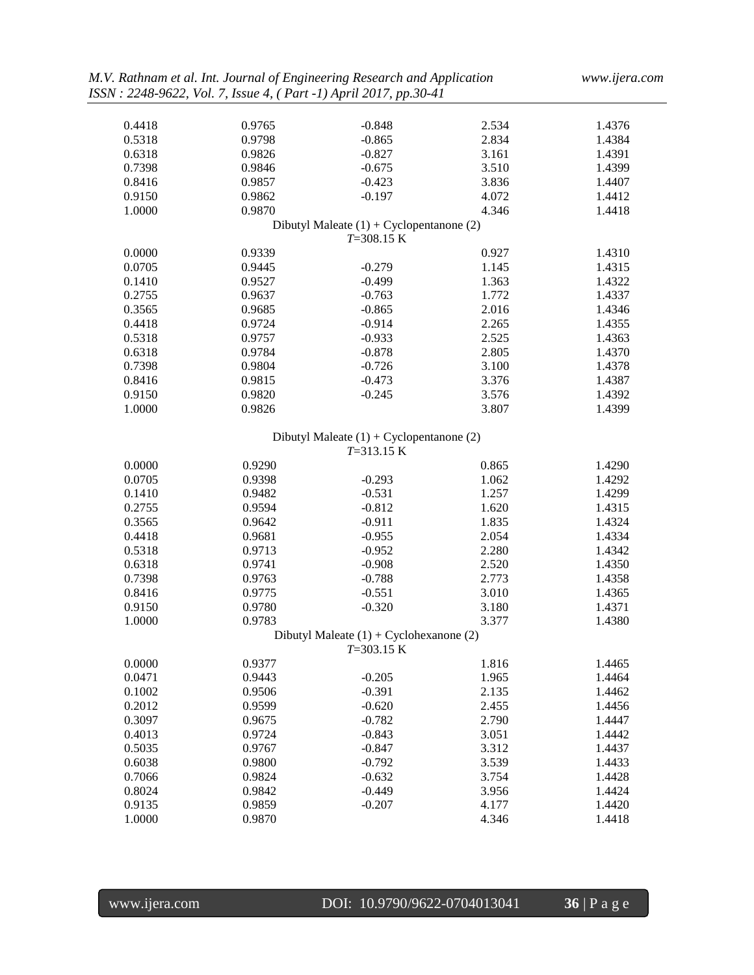| 0.4418 | 0.9765 | $-0.848$                                   | 2.534 | 1.4376 |
|--------|--------|--------------------------------------------|-------|--------|
| 0.5318 | 0.9798 | $-0.865$                                   | 2.834 | 1.4384 |
| 0.6318 | 0.9826 | $-0.827$                                   | 3.161 | 1.4391 |
| 0.7398 | 0.9846 | $-0.675$                                   | 3.510 | 1.4399 |
| 0.8416 | 0.9857 | $-0.423$                                   | 3.836 | 1.4407 |
| 0.9150 | 0.9862 | $-0.197$                                   | 4.072 | 1.4412 |
| 1.0000 | 0.9870 |                                            | 4.346 | 1.4418 |
|        |        | Dibutyl Maleate $(1) + Cyclopentanone (2)$ |       |        |
|        |        | $T = 308.15 K$                             |       |        |
| 0.0000 | 0.9339 |                                            | 0.927 | 1.4310 |
| 0.0705 | 0.9445 | $-0.279$                                   | 1.145 | 1.4315 |
| 0.1410 | 0.9527 | $-0.499$                                   | 1.363 | 1.4322 |
| 0.2755 | 0.9637 | $-0.763$                                   | 1.772 | 1.4337 |
| 0.3565 | 0.9685 | $-0.865$                                   | 2.016 | 1.4346 |
| 0.4418 | 0.9724 | $-0.914$                                   | 2.265 | 1.4355 |
| 0.5318 | 0.9757 | $-0.933$                                   | 2.525 | 1.4363 |
| 0.6318 | 0.9784 | $-0.878$                                   | 2.805 | 1.4370 |
| 0.7398 | 0.9804 | $-0.726$                                   | 3.100 | 1.4378 |
| 0.8416 | 0.9815 | $-0.473$                                   | 3.376 | 1.4387 |
| 0.9150 | 0.9820 | $-0.245$                                   | 3.576 | 1.4392 |
| 1.0000 | 0.9826 |                                            | 3.807 | 1.4399 |
|        |        |                                            |       |        |
|        |        | Dibutyl Maleate $(1) + Cyclopentanone (2)$ |       |        |
|        |        | $T = 313.15 K$                             |       |        |
| 0.0000 | 0.9290 |                                            | 0.865 | 1.4290 |
| 0.0705 | 0.9398 | $-0.293$                                   | 1.062 | 1.4292 |
| 0.1410 | 0.9482 | $-0.531$                                   | 1.257 | 1.4299 |
| 0.2755 | 0.9594 | $-0.812$                                   | 1.620 | 1.4315 |
| 0.3565 | 0.9642 | $-0.911$                                   | 1.835 | 1.4324 |
| 0.4418 | 0.9681 | $-0.955$                                   | 2.054 | 1.4334 |
|        |        |                                            | 2.280 |        |
| 0.5318 | 0.9713 | $-0.952$                                   |       | 1.4342 |
| 0.6318 | 0.9741 | $-0.908$                                   | 2.520 | 1.4350 |
| 0.7398 | 0.9763 | $-0.788$                                   | 2.773 | 1.4358 |
| 0.8416 | 0.9775 | $-0.551$                                   | 3.010 | 1.4365 |
| 0.9150 | 0.9780 | $-0.320$                                   | 3.180 | 1.4371 |
| 1.0000 | 0.9783 |                                            | 3.377 | 1.4380 |
|        |        | Dibutyl Maleate $(1) + Cyclohexanone(2)$   |       |        |
|        |        | $T=303.15 K$                               |       |        |
| 0.0000 | 0.9377 |                                            | 1.816 | 1.4465 |
| 0.0471 | 0.9443 | $-0.205$                                   | 1.965 | 1.4464 |
| 0.1002 | 0.9506 | $-0.391$                                   | 2.135 | 1.4462 |
| 0.2012 | 0.9599 | $-0.620$                                   | 2.455 | 1.4456 |
| 0.3097 | 0.9675 | $-0.782$                                   | 2.790 | 1.4447 |
| 0.4013 | 0.9724 | $-0.843$                                   | 3.051 | 1.4442 |
| 0.5035 | 0.9767 | $-0.847$                                   | 3.312 | 1.4437 |
| 0.6038 | 0.9800 | $-0.792$                                   | 3.539 | 1.4433 |
| 0.7066 | 0.9824 | $-0.632$                                   | 3.754 | 1.4428 |
| 0.8024 | 0.9842 | $-0.449$                                   | 3.956 | 1.4424 |
| 0.9135 | 0.9859 | $-0.207$                                   | 4.177 | 1.4420 |
| 1.0000 | 0.9870 |                                            | 4.346 | 1.4418 |
|        |        |                                            |       |        |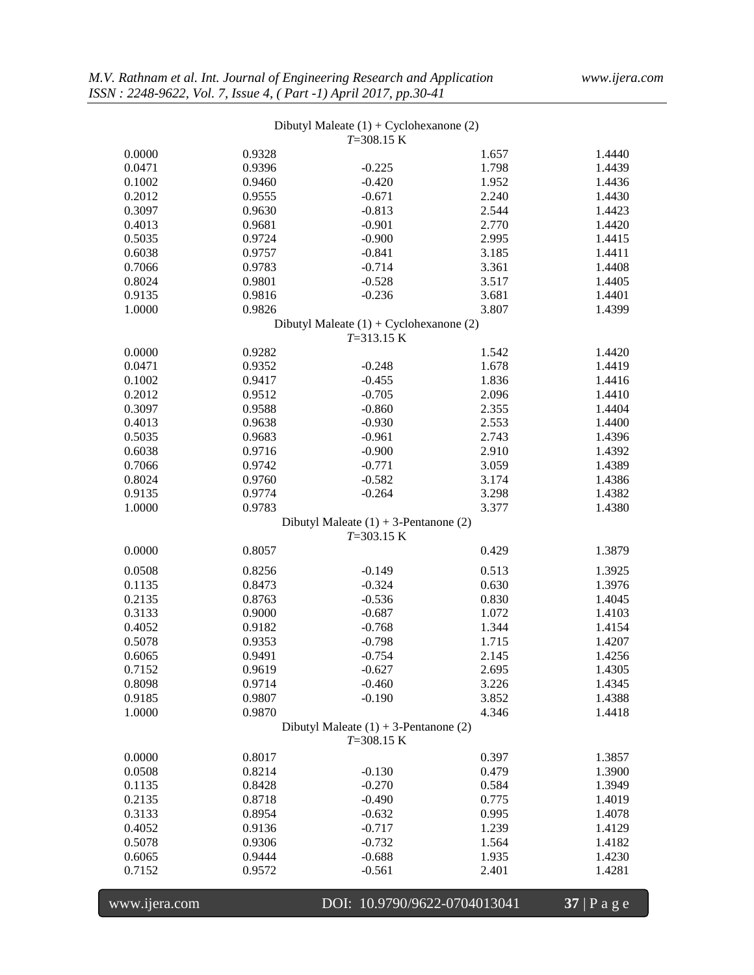|               |        | Dibutyl Maleate $(1) + Cyclohexanone (2)$<br>$T=308.15 K$  |                              |              |
|---------------|--------|------------------------------------------------------------|------------------------------|--------------|
| 0.0000        | 0.9328 |                                                            | 1.657                        | 1.4440       |
| 0.0471        | 0.9396 | $-0.225$                                                   | 1.798                        | 1.4439       |
| 0.1002        | 0.9460 | $-0.420$                                                   | 1.952                        | 1.4436       |
| 0.2012        | 0.9555 | $-0.671$                                                   | 2.240                        | 1.4430       |
| 0.3097        | 0.9630 | $-0.813$                                                   | 2.544                        | 1.4423       |
| 0.4013        | 0.9681 | $-0.901$                                                   | 2.770                        | 1.4420       |
| 0.5035        | 0.9724 | $-0.900$                                                   | 2.995                        | 1.4415       |
| 0.6038        | 0.9757 | $-0.841$                                                   | 3.185                        | 1.4411       |
| 0.7066        | 0.9783 | $-0.714$                                                   | 3.361                        | 1.4408       |
| 0.8024        | 0.9801 | $-0.528$                                                   | 3.517                        | 1.4405       |
| 0.9135        | 0.9816 | $-0.236$                                                   | 3.681                        | 1.4401       |
| 1.0000        | 0.9826 |                                                            | 3.807                        | 1.4399       |
|               |        | Dibutyl Maleate $(1) + Cyclohexanone (2)$                  |                              |              |
|               |        | $T = 313.15 K$                                             |                              |              |
| 0.0000        | 0.9282 |                                                            | 1.542                        | 1.4420       |
| 0.0471        | 0.9352 | $-0.248$                                                   | 1.678                        | 1.4419       |
| 0.1002        | 0.9417 | $-0.455$                                                   | 1.836                        | 1.4416       |
| 0.2012        | 0.9512 | $-0.705$                                                   | 2.096                        | 1.4410       |
| 0.3097        | 0.9588 | $-0.860$                                                   | 2.355                        | 1.4404       |
| 0.4013        | 0.9638 | $-0.930$                                                   | 2.553                        | 1.4400       |
| 0.5035        | 0.9683 | $-0.961$                                                   | 2.743                        | 1.4396       |
| 0.6038        | 0.9716 | $-0.900$                                                   | 2.910                        | 1.4392       |
| 0.7066        | 0.9742 | $-0.771$                                                   | 3.059                        | 1.4389       |
| 0.8024        | 0.9760 | $-0.582$                                                   | 3.174                        | 1.4386       |
| 0.9135        | 0.9774 | $-0.264$                                                   | 3.298                        | 1.4382       |
| 1.0000        | 0.9783 |                                                            | 3.377                        | 1.4380       |
|               |        | Dibutyl Maleate $(1) + 3$ -Pentanone $(2)$<br>$T=303.15 K$ |                              |              |
| 0.0000        | 0.8057 |                                                            | 0.429                        | 1.3879       |
| 0.0508        | 0.8256 | $-0.149$                                                   | 0.513                        | 1.3925       |
| 0.1135        | 0.8473 | $-0.324$                                                   | 0.630                        | 1.3976       |
| 0.2135        | 0.8763 | $-0.536$                                                   | 0.830                        | 1.4045       |
| 0.3133        | 0.9000 | $-0.687$                                                   | 1.072                        | 1.4103       |
| 0.4052        | 0.9182 | $-0.768$                                                   | 1.344                        | 1.4154       |
| 0.5078        | 0.9353 | $-0.798$                                                   | 1.715                        | 1.4207       |
| 0.6065        | 0.9491 | $-0.754$                                                   | 2.145                        | 1.4256       |
| 0.7152        | 0.9619 | $-0.627$                                                   | 2.695                        | 1.4305       |
| 0.8098        | 0.9714 | $-0.460$                                                   | 3.226                        | 1.4345       |
| 0.9185        | 0.9807 | $-0.190$                                                   | 3.852                        | 1.4388       |
| 1.0000        | 0.9870 |                                                            | 4.346                        | 1.4418       |
|               |        | Dibutyl Maleate $(1) + 3$ -Pentanone $(2)$<br>$T=308.15 K$ |                              |              |
| 0.0000        | 0.8017 |                                                            | 0.397                        | 1.3857       |
| 0.0508        | 0.8214 | $-0.130$                                                   | 0.479                        | 1.3900       |
| 0.1135        | 0.8428 | $-0.270$                                                   | 0.584                        | 1.3949       |
| 0.2135        | 0.8718 | $-0.490$                                                   | 0.775                        | 1.4019       |
| 0.3133        | 0.8954 | $-0.632$                                                   | 0.995                        | 1.4078       |
| 0.4052        | 0.9136 | $-0.717$                                                   | 1.239                        | 1.4129       |
| 0.5078        | 0.9306 | $-0.732$                                                   | 1.564                        | 1.4182       |
| 0.6065        | 0.9444 | $-0.688$                                                   | 1.935                        | 1.4230       |
| 0.7152        | 0.9572 | $-0.561$                                                   | 2.401                        | 1.4281       |
| www.ijera.com |        |                                                            | DOI: 10.9790/9622-0704013041 | 37   P a g e |
|               |        |                                                            |                              |              |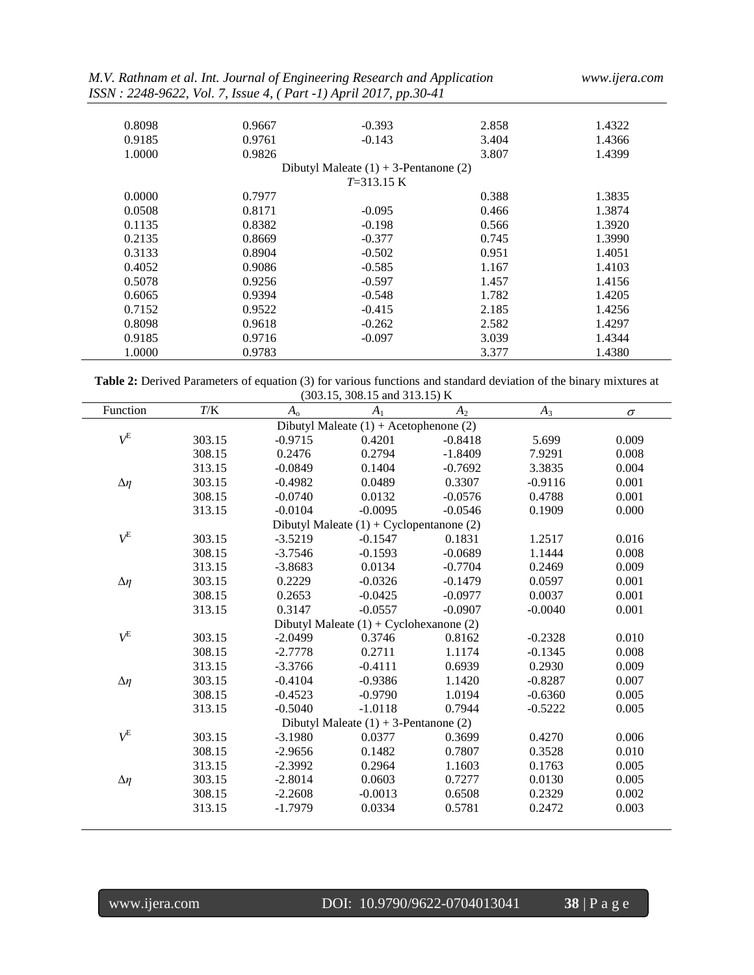| M.V. Rathnam et al. Int. Journal of Engineering Research and Application |  |  |
|--------------------------------------------------------------------------|--|--|
| ISSN: 2248-9622, Vol. 7, Issue 4, (Part -1) April 2017, pp.30-41         |  |  |

| 0.8098 | 0.9667 | $-0.393$                                   | 2.858 | 1.4322 |
|--------|--------|--------------------------------------------|-------|--------|
| 0.9185 | 0.9761 | $-0.143$                                   | 3.404 | 1.4366 |
| 1.0000 | 0.9826 |                                            | 3.807 | 1.4399 |
|        |        | Dibutyl Maleate $(1) + 3$ -Pentanone $(2)$ |       |        |
|        |        | $T=313.15 \text{ K}$                       |       |        |
| 0.0000 | 0.7977 |                                            | 0.388 | 1.3835 |
| 0.0508 | 0.8171 | $-0.095$                                   | 0.466 | 1.3874 |
| 0.1135 | 0.8382 | $-0.198$                                   | 0.566 | 1.3920 |
| 0.2135 | 0.8669 | $-0.377$                                   | 0.745 | 1.3990 |
| 0.3133 | 0.8904 | $-0.502$                                   | 0.951 | 1.4051 |
| 0.4052 | 0.9086 | $-0.585$                                   | 1.167 | 1.4103 |
| 0.5078 | 0.9256 | $-0.597$                                   | 1.457 | 1.4156 |
| 0.6065 | 0.9394 | $-0.548$                                   | 1.782 | 1.4205 |
| 0.7152 | 0.9522 | $-0.415$                                   | 2.185 | 1.4256 |
| 0.8098 | 0.9618 | $-0.262$                                   | 2.582 | 1.4297 |
| 0.9185 | 0.9716 | $-0.097$                                   | 3.039 | 1.4344 |
| 1.0000 | 0.9783 |                                            | 3.377 | 1.4380 |

**Table 2:** Derived Parameters of equation (3) for various functions and standard deviation of the binary mixtures at (303.15, 308.15 and 313.15) K

| Function      | $T\!/\mathrm{K}$ | $A_{\rm o}$ | $A_1$                                      | $A_2$     | $A_3$     | $\sigma$ |
|---------------|------------------|-------------|--------------------------------------------|-----------|-----------|----------|
|               |                  |             | Dibutyl Maleate $(1) +$ Acetophenone $(2)$ |           |           |          |
| $V^{\rm E}$   | 303.15           | $-0.9715$   | 0.4201                                     | $-0.8418$ | 5.699     | 0.009    |
|               | 308.15           | 0.2476      | 0.2794                                     | $-1.8409$ | 7.9291    | 0.008    |
|               | 313.15           | $-0.0849$   | 0.1404                                     | $-0.7692$ | 3.3835    | 0.004    |
| $\Delta\eta$  | 303.15           | $-0.4982$   | 0.0489                                     | 0.3307    | $-0.9116$ | 0.001    |
|               | 308.15           | $-0.0740$   | 0.0132                                     | $-0.0576$ | 0.4788    | 0.001    |
|               | 313.15           | $-0.0104$   | $-0.0095$                                  | $-0.0546$ | 0.1909    | 0.000    |
|               |                  |             | Dibutyl Maleate $(1) + Cyclopentanone (2)$ |           |           |          |
| $V^{\rm E}$   | 303.15           | $-3.5219$   | $-0.1547$                                  | 0.1831    | 1.2517    | 0.016    |
|               | 308.15           | $-3.7546$   | $-0.1593$                                  | $-0.0689$ | 1.1444    | 0.008    |
|               | 313.15           | $-3.8683$   | 0.0134                                     | $-0.7704$ | 0.2469    | 0.009    |
| $\Delta \eta$ | 303.15           | 0.2229      | $-0.0326$                                  | $-0.1479$ | 0.0597    | 0.001    |
|               | 308.15           | 0.2653      | $-0.0425$                                  | $-0.0977$ | 0.0037    | 0.001    |
|               | 313.15           | 0.3147      | $-0.0557$                                  | $-0.0907$ | $-0.0040$ | 0.001    |
|               |                  |             | Dibutyl Maleate $(1) + Cyclohexanone (2)$  |           |           |          |
| $V^{\rm E}$   | 303.15           | $-2.0499$   | 0.3746                                     | 0.8162    | $-0.2328$ | 0.010    |
|               | 308.15           | $-2.7778$   | 0.2711                                     | 1.1174    | $-0.1345$ | 0.008    |
|               | 313.15           | $-3.3766$   | $-0.4111$                                  | 0.6939    | 0.2930    | 0.009    |
| $\Delta \eta$ | 303.15           | $-0.4104$   | $-0.9386$                                  | 1.1420    | $-0.8287$ | 0.007    |
|               | 308.15           | $-0.4523$   | $-0.9790$                                  | 1.0194    | $-0.6360$ | 0.005    |
|               | 313.15           | $-0.5040$   | $-1.0118$                                  | 0.7944    | $-0.5222$ | 0.005    |
|               |                  |             | Dibutyl Maleate $(1) + 3$ -Pentanone $(2)$ |           |           |          |
| $V^{\rm E}$   | 303.15           | $-3.1980$   | 0.0377                                     | 0.3699    | 0.4270    | 0.006    |
|               | 308.15           | $-2.9656$   | 0.1482                                     | 0.7807    | 0.3528    | 0.010    |
|               | 313.15           | $-2.3992$   | 0.2964                                     | 1.1603    | 0.1763    | 0.005    |
| $\Delta\eta$  | 303.15           | $-2.8014$   | 0.0603                                     | 0.7277    | 0.0130    | 0.005    |
|               | 308.15           | $-2.2608$   | $-0.0013$                                  | 0.6508    | 0.2329    | 0.002    |
|               | 313.15           | $-1.7979$   | 0.0334                                     | 0.5781    | 0.2472    | 0.003    |
|               |                  |             |                                            |           |           |          |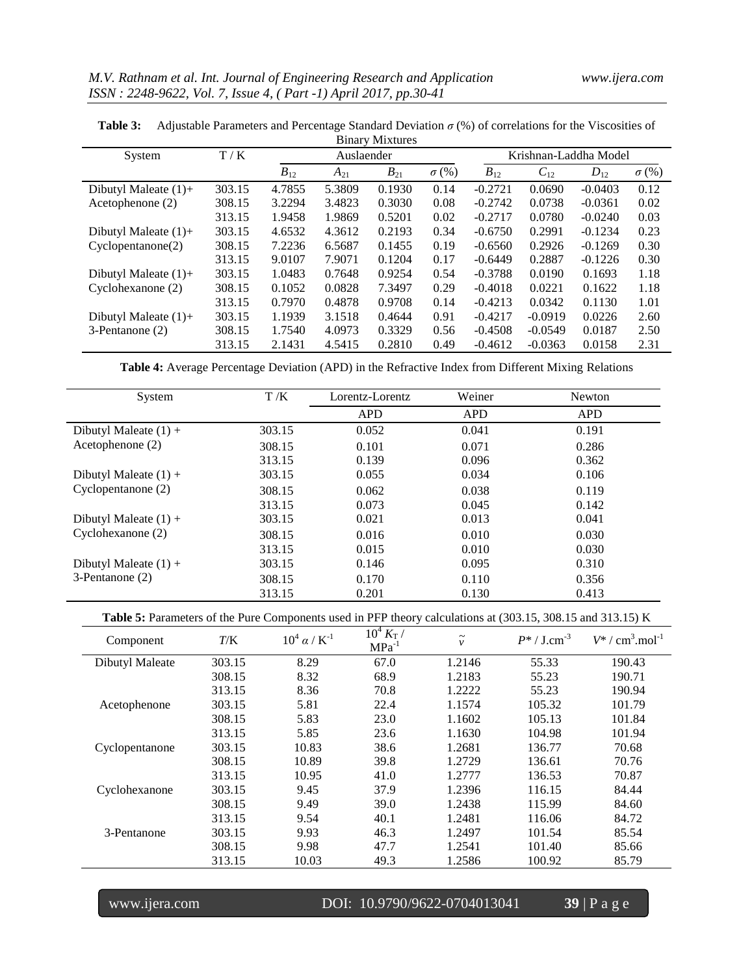| <b>Binary Mixtures</b>  |        |          |            |          |              |                       |           |           |              |
|-------------------------|--------|----------|------------|----------|--------------|-----------------------|-----------|-----------|--------------|
| System                  | T/K    |          | Auslaender |          |              | Krishnan-Laddha Model |           |           |              |
|                         |        | $B_{12}$ | $A_{21}$   | $B_{21}$ | $\sigma$ (%) | $B_{12}$              | $C_{12}$  | $D_{12}$  | $\sigma$ (%) |
| Dibutyl Maleate $(1)$ + | 303.15 | 4.7855   | 5.3809     | 0.1930   | 0.14         | $-0.2721$             | 0.0690    | $-0.0403$ | 0.12         |
| Acetophenone (2)        | 308.15 | 3.2294   | 3.4823     | 0.3030   | 0.08         | $-0.2742$             | 0.0738    | $-0.0361$ | 0.02         |
|                         | 313.15 | 1.9458   | 1.9869     | 0.5201   | 0.02         | $-0.2717$             | 0.0780    | $-0.0240$ | 0.03         |
| Dibutyl Maleate $(1)$ + | 303.15 | 4.6532   | 4.3612     | 0.2193   | 0.34         | $-0.6750$             | 0.2991    | $-0.1234$ | 0.23         |
| Cyclopentanone(2)       | 308.15 | 7.2236   | 6.5687     | 0.1455   | 0.19         | $-0.6560$             | 0.2926    | $-0.1269$ | 0.30         |
|                         | 313.15 | 9.0107   | 7.9071     | 0.1204   | 0.17         | $-0.6449$             | 0.2887    | $-0.1226$ | 0.30         |
| Dibutyl Maleate $(1)$ + | 303.15 | 1.0483   | 0.7648     | 0.9254   | 0.54         | $-0.3788$             | 0.0190    | 0.1693    | 1.18         |
| Cyclohexanone (2)       | 308.15 | 0.1052   | 0.0828     | 7.3497   | 0.29         | $-0.4018$             | 0.0221    | 0.1622    | 1.18         |
|                         | 313.15 | 0.7970   | 0.4878     | 0.9708   | 0.14         | $-0.4213$             | 0.0342    | 0.1130    | 1.01         |
| Dibutyl Maleate $(1)$ + | 303.15 | 1.1939   | 3.1518     | 0.4644   | 0.91         | $-0.4217$             | $-0.0919$ | 0.0226    | 2.60         |
| 3-Pentanone (2)         | 308.15 | 1.7540   | 4.0973     | 0.3329   | 0.56         | $-0.4508$             | $-0.0549$ | 0.0187    | 2.50         |
|                         | 313.15 | 2.1431   | 4.5415     | 0.2810   | 0.49         | $-0.4612$             | $-0.0363$ | 0.0158    | 2.31         |

**Table 3:** Adjustable Parameters and Percentage Standard Deviation *σ* (%) of correlations for the Viscosities of

**Table 4:** Average Percentage Deviation (APD) in the Refractive Index from Different Mixing Relations

| System                  | T/K    | Lorentz-Lorentz | Weiner     | Newton     |
|-------------------------|--------|-----------------|------------|------------|
|                         |        | <b>APD</b>      | <b>APD</b> | <b>APD</b> |
| Dibutyl Maleate $(1) +$ | 303.15 | 0.052           | 0.041      | 0.191      |
| Acetophenone $(2)$      | 308.15 | 0.101           | 0.071      | 0.286      |
|                         | 313.15 | 0.139           | 0.096      | 0.362      |
| Dibutyl Maleate $(1) +$ | 303.15 | 0.055           | 0.034      | 0.106      |
| Cyclopentanone (2)      | 308.15 | 0.062           | 0.038      | 0.119      |
|                         | 313.15 | 0.073           | 0.045      | 0.142      |
| Dibutyl Maleate $(1) +$ | 303.15 | 0.021           | 0.013      | 0.041      |
| Cyclohexanone (2)       | 308.15 | 0.016           | 0.010      | 0.030      |
|                         | 313.15 | 0.015           | 0.010      | 0.030      |
| Dibutyl Maleate $(1) +$ | 303.15 | 0.146           | 0.095      | 0.310      |
| 3-Pentanone (2)         | 308.15 | 0.170           | 0.110      | 0.356      |
|                         | 313.15 | 0.201           | 0.130      | 0.413      |

Table 5: Parameters of the Pure Components used in PFP theory calculations at (303.15, 308.15 and 313.15) K

| Component       | T/K    | $10^4 \alpha / K^{-1}$ | $10^4 K_{\rm T}$ /<br>$MPa^{-1}$ | $\tilde{}$<br>$\mathcal{V}$ | $P^* /$ J.cm <sup>-3</sup> | $V^* / \text{cm}^3 \text{.} \text{mol}^{-1}$ |
|-----------------|--------|------------------------|----------------------------------|-----------------------------|----------------------------|----------------------------------------------|
| Dibutyl Maleate | 303.15 | 8.29                   | 67.0                             | 1.2146                      | 55.33                      | 190.43                                       |
|                 | 308.15 | 8.32                   | 68.9                             | 1.2183                      | 55.23                      | 190.71                                       |
|                 | 313.15 | 8.36                   | 70.8                             | 1.2222                      | 55.23                      | 190.94                                       |
| Acetophenone    | 303.15 | 5.81                   | 22.4                             | 1.1574                      | 105.32                     | 101.79                                       |
|                 | 308.15 | 5.83                   | 23.0                             | 1.1602                      | 105.13                     | 101.84                                       |
|                 | 313.15 | 5.85                   | 23.6                             | 1.1630                      | 104.98                     | 101.94                                       |
| Cyclopentanone  | 303.15 | 10.83                  | 38.6                             | 1.2681                      | 136.77                     | 70.68                                        |
|                 | 308.15 | 10.89                  | 39.8                             | 1.2729                      | 136.61                     | 70.76                                        |
|                 | 313.15 | 10.95                  | 41.0                             | 1.2777                      | 136.53                     | 70.87                                        |
| Cyclohexanone   | 303.15 | 9.45                   | 37.9                             | 1.2396                      | 116.15                     | 84.44                                        |
|                 | 308.15 | 9.49                   | 39.0                             | 1.2438                      | 115.99                     | 84.60                                        |
|                 | 313.15 | 9.54                   | 40.1                             | 1.2481                      | 116.06                     | 84.72                                        |
| 3-Pentanone     | 303.15 | 9.93                   | 46.3                             | 1.2497                      | 101.54                     | 85.54                                        |
|                 | 308.15 | 9.98                   | 47.7                             | 1.2541                      | 101.40                     | 85.66                                        |
|                 | 313.15 | 10.03                  | 49.3                             | 1.2586                      | 100.92                     | 85.79                                        |

www.ijera.com DOI: 10.9790/9622-0704013041 **39** | P a g e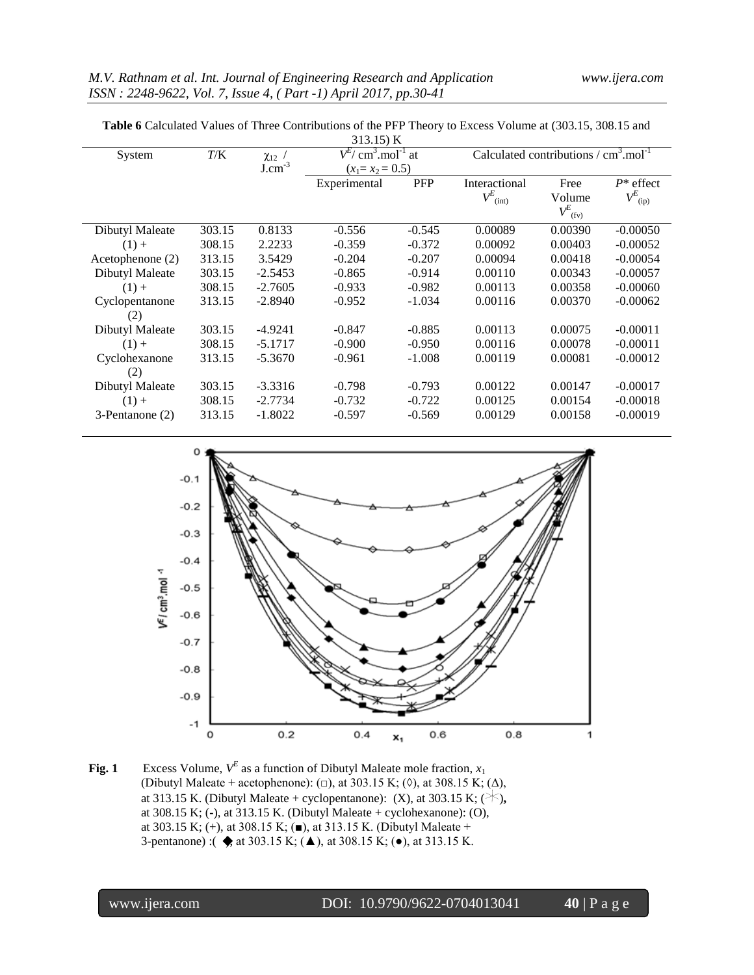| <b>Table 6</b> Calculated Values of Three Contributions of the PFP Theory to Excess Volume at (303.15, 308.15 and |  |
|-------------------------------------------------------------------------------------------------------------------|--|
|-------------------------------------------------------------------------------------------------------------------|--|

| 313.15) K        |        |             |                                                |            |                        |                                                |                      |  |
|------------------|--------|-------------|------------------------------------------------|------------|------------------------|------------------------------------------------|----------------------|--|
| System           | T/K    | $\chi_{12}$ | $V^{E}/$ cm <sup>3</sup> .mol <sup>-1</sup> at |            |                        | Calculated contributions $\rm / \, cm3. mol-1$ |                      |  |
|                  |        | $J.cm^{-3}$ | $(x_1 = x_2 = 0.5)$                            |            |                        |                                                |                      |  |
|                  |        |             | Experimental                                   | <b>PFP</b> | Interactional          | Free                                           | $P^*$ effect         |  |
|                  |        |             |                                                |            | $V^E$ <sub>(int)</sub> | Volume                                         | $V^E_{\;\;\rm (ip)}$ |  |
|                  |        |             |                                                |            |                        | $V^E_{(fv)}$                                   |                      |  |
| Dibutyl Maleate  | 303.15 | 0.8133      | $-0.556$                                       | $-0.545$   | 0.00089                | 0.00390                                        | $-0.00050$           |  |
| $(1) +$          | 308.15 | 2.2233      | $-0.359$                                       | $-0.372$   | 0.00092                | 0.00403                                        | $-0.00052$           |  |
| Acetophenone (2) | 313.15 | 3.5429      | $-0.204$                                       | $-0.207$   | 0.00094                | 0.00418                                        | $-0.00054$           |  |
| Dibutyl Maleate  | 303.15 | $-2.5453$   | $-0.865$                                       | $-0.914$   | 0.00110                | 0.00343                                        | $-0.00057$           |  |
| $(1) +$          | 308.15 | $-2.7605$   | $-0.933$                                       | $-0.982$   | 0.00113                | 0.00358                                        | $-0.00060$           |  |
| Cyclopentanone   | 313.15 | $-2.8940$   | $-0.952$                                       | $-1.034$   | 0.00116                | 0.00370                                        | $-0.00062$           |  |
| (2)              |        |             |                                                |            |                        |                                                |                      |  |
| Dibutyl Maleate  | 303.15 | $-4.9241$   | $-0.847$                                       | $-0.885$   | 0.00113                | 0.00075                                        | $-0.00011$           |  |
| $(1) +$          | 308.15 | $-5.1717$   | $-0.900$                                       | $-0.950$   | 0.00116                | 0.00078                                        | $-0.00011$           |  |
| Cyclohexanone    | 313.15 | $-5.3670$   | $-0.961$                                       | $-1.008$   | 0.00119                | 0.00081                                        | $-0.00012$           |  |
| (2)              |        |             |                                                |            |                        |                                                |                      |  |
| Dibutyl Maleate  | 303.15 | $-3.3316$   | $-0.798$                                       | $-0.793$   | 0.00122                | 0.00147                                        | $-0.00017$           |  |
| $(1) +$          | 308.15 | $-2.7734$   | $-0.732$                                       | $-0.722$   | 0.00125                | 0.00154                                        | $-0.00018$           |  |
| 3-Pentanone (2)  | 313.15 | $-1.8022$   | $-0.597$                                       | $-0.569$   | 0.00129                | 0.00158                                        | $-0.00019$           |  |
|                  |        |             |                                                |            |                        |                                                |                      |  |



**Fig. 1** Excess Volume,  $V^E$  as a function of Dibutyl Maleate mole fraction,  $x_1$ (Dibutyl Maleate + acetophenone): ( $\Box$ ), at 303.15 K; ( $\Diamond$ ), at 308.15 K; ( $\Delta$ ), at 313.15 K. (Dibutyl Maleate + cyclopentanone): (X), at 303.15 K; ( $\star$ ), at 308.15 K; (**-**), at 313.15 K. (Dibutyl Maleate + cyclohexanone): (O), at 303.15 K; (+), at 308.15 K; ( $\blacksquare$ ), at 313.15 K. (Dibutyl Maleate + 3-pentanone) :  $\Leftrightarrow$  at 303.15 K;  $(\triangle)$ , at 308.15 K;  $(\bullet)$ , at 313.15 K.